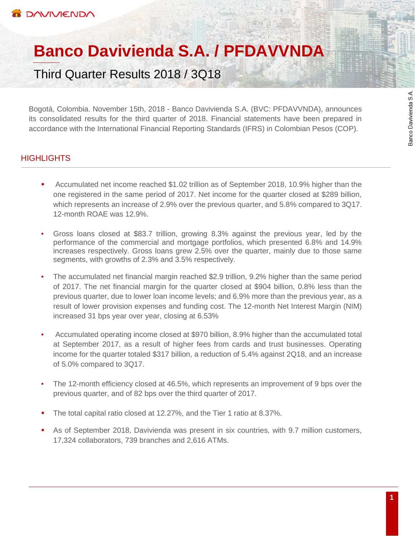# **Banco Davivienda S.A. / PFDAVVNDA**

Third Quarter Results 2018 / 3Q18

Bogotá, Colombia. November 15th, 2018 - Banco Davivienda S.A. (BVC: PFDAVVNDA), announces its consolidated results for the third quarter of 2018. Financial statements have been prepared in accordance with the International Financial Reporting Standards (IFRS) in Colombian Pesos (COP).

# **HIGHLIGHTS**

- Accumulated net income reached \$1.02 trillion as of September 2018, 10.9% higher than the one registered in the same period of 2017. Net income for the quarter closed at \$289 billion, which represents an increase of 2.9% over the previous quarter, and 5.8% compared to 3Q17. 12-month ROAE was 12.9%.
- Gross loans closed at \$83.7 trillion, growing 8.3% against the previous year, led by the performance of the commercial and mortgage portfolios, which presented 6.8% and 14.9% increases respectively. Gross loans grew 2.5% over the quarter, mainly due to those same segments, with growths of 2.3% and 3.5% respectively.
- The accumulated net financial margin reached \$2.9 trillion, 9.2% higher than the same period of 2017. The net financial margin for the quarter closed at \$904 billion, 0.8% less than the previous quarter, due to lower loan income levels; and 6.9% more than the previous year, as a result of lower provision expenses and funding cost. The 12-month Net Interest Margin (NIM) increased 31 bps year over year, closing at 6.53%
- Accumulated operating income closed at \$970 billion, 8.9% higher than the accumulated total at September 2017, as a result of higher fees from cards and trust businesses. Operating income for the quarter totaled \$317 billion, a reduction of 5.4% against 2Q18, and an increase of 5.0% compared to 3Q17.
- The 12-month efficiency closed at 46.5%, which represents an improvement of 9 bps over the previous quarter, and of 82 bps over the third quarter of 2017.
- The total capital ratio closed at 12.27%, and the Tier 1 ratio at 8.37%.
- As of September 2018, Davivienda was present in six countries, with 9.7 million customers, 17,324 collaborators, 739 branches and 2,616 ATMs.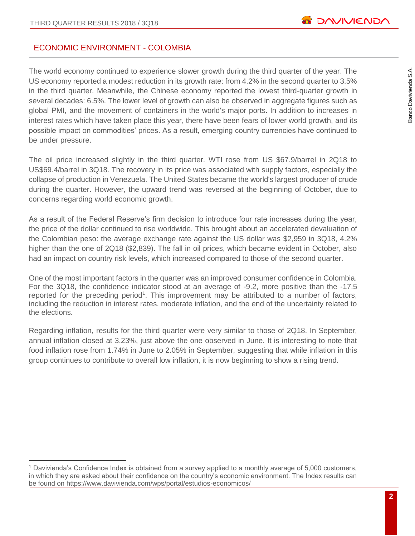# ECONOMIC ENVIRONMENT - COLOMBIA

The world economy continued to experience slower growth during the third quarter of the year. The US economy reported a modest reduction in its growth rate: from 4.2% in the second quarter to 3.5% in the third quarter. Meanwhile, the Chinese economy reported the lowest third-quarter growth in several decades: 6.5%. The lower level of growth can also be observed in aggregate figures such as global PMI, and the movement of containers in the world's major ports. In addition to increases in interest rates which have taken place this year, there have been fears of lower world growth, and its possible impact on commodities' prices. As a result, emerging country currencies have continued to be under pressure.

The oil price increased slightly in the third quarter. WTI rose from US \$67.9/barrel in 2Q18 to US\$69.4/barrel in 3Q18. The recovery in its price was associated with supply factors, especially the collapse of production in Venezuela. The United States became the world's largest producer of crude during the quarter. However, the upward trend was reversed at the beginning of October, due to concerns regarding world economic growth.

As a result of the Federal Reserve's firm decision to introduce four rate increases during the year, the price of the dollar continued to rise worldwide. This brought about an accelerated devaluation of the Colombian peso: the average exchange rate against the US dollar was \$2,959 in 3Q18, 4.2% higher than the one of 2Q18 (\$2,839). The fall in oil prices, which became evident in October, also had an impact on country risk levels, which increased compared to those of the second quarter.

One of the most important factors in the quarter was an improved consumer confidence in Colombia. For the 3Q18, the confidence indicator stood at an average of -9.2, more positive than the -17.5 reported for the preceding period<sup>1</sup>. This improvement may be attributed to a number of factors, including the reduction in interest rates, moderate inflation, and the end of the uncertainty related to the elections.

Regarding inflation, results for the third quarter were very similar to those of 2Q18. In September, annual inflation closed at 3.23%, just above the one observed in June. It is interesting to note that food inflation rose from 1.74% in June to 2.05% in September, suggesting that while inflation in this group continues to contribute to overall low inflation, it is now beginning to show a rising trend.

 $\overline{a}$ <sup>1</sup> Davivienda's Confidence Index is obtained from a survey applied to a monthly average of 5,000 customers, in which they are asked about their confidence on the country's economic environment. The Index results can be found on<https://www.davivienda.com/wps/portal/estudios-economicos/>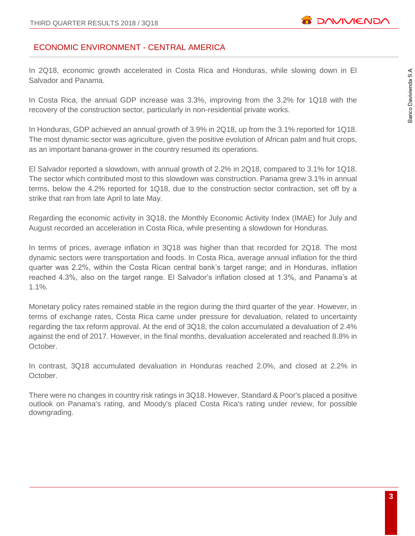# ECONOMIC ENVIRONMENT - CENTRAL AMERICA

In 2Q18, economic growth accelerated in Costa Rica and Honduras, while slowing down in El Salvador and Panama.

In Costa Rica, the annual GDP increase was 3.3%, improving from the 3.2% for 1Q18 with the recovery of the construction sector, particularly in non-residential private works.

In Honduras, GDP achieved an annual growth of 3.9% in 2Q18, up from the 3.1% reported for 1Q18. The most dynamic sector was agriculture, given the positive evolution of African palm and fruit crops, as an important banana-grower in the country resumed its operations.

El Salvador reported a slowdown, with annual growth of 2.2% in 2Q18, compared to 3.1% for 1Q18. The sector which contributed most to this slowdown was construction. Panama grew 3.1% in annual terms, below the 4.2% reported for 1Q18, due to the construction sector contraction, set off by a strike that ran from late April to late May.

Regarding the economic activity in 3Q18, the Monthly Economic Activity Index (IMAE) for July and August recorded an acceleration in Costa Rica, while presenting a slowdown for Honduras.

In terms of prices, average inflation in 3Q18 was higher than that recorded for 2Q18. The most dynamic sectors were transportation and foods. In Costa Rica, average annual inflation for the third quarter was 2.2%, within the Costa Rican central bank's target range; and in Honduras, inflation reached 4.3%, also on the target range. El Salvador's inflation closed at 1.3%, and Panama's at 1.1%.

Monetary policy rates remained stable in the region during the third quarter of the year. However, in terms of exchange rates, Costa Rica came under pressure for devaluation, related to uncertainty regarding the tax reform approval. At the end of 3Q18, the colon accumulated a devaluation of 2.4% against the end of 2017. However, in the final months, devaluation accelerated and reached 8.8% in October.

In contrast, 3Q18 accumulated devaluation in Honduras reached 2.0%, and closed at 2.2% in October.

There were no changes in country risk ratings in 3Q18. However, Standard & Poor's placed a positive outlook on Panama's rating, and Moody's placed Costa Rica's rating under review, for possible downgrading.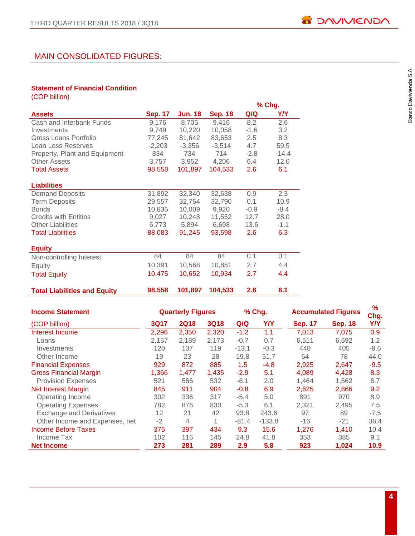# MAIN CONSOLIDATED FIGURES:

#### **Statement of Financial Condition**

| (COP billion)                       |                |          |                |        |            |
|-------------------------------------|----------------|----------|----------------|--------|------------|
|                                     |                |          |                |        | % Chg.     |
| <b>Assets</b>                       | <b>Sep. 17</b> | Jun. 18  | <b>Sep. 18</b> | Q/Q    | <b>Y/Y</b> |
| Cash and Interbank Funds            | 9,176          | 8,705    | 9,416          | 8.2    | 2.6        |
| Investments                         | 9,749          | 10,220   | 10,058         | $-1.6$ | 3.2        |
| Gross Loans Portfolio               | 77,245         | 81,642   | 83,653         | 2.5    | 8.3        |
| Loan Loss Reserves                  | $-2,203$       | $-3,356$ | $-3,514$       | 4.7    | 59.5       |
| Property, Plant and Equipment       | 834            | 734      | 714            | $-2.8$ | $-14.4$    |
| <b>Other Assets</b>                 | 3,757          | 3,952    | 4,206          | 6.4    | 12.0       |
| <b>Total Assets</b>                 | 98,558         | 101,897  | 104,533        | 2.6    | 6.1        |
| <b>Liabilities</b>                  |                |          |                |        |            |
| <b>Demand Deposits</b>              | 31,892         | 32,340   | 32,638         | 0.9    | 2.3        |
| <b>Term Deposits</b>                | 29,557         | 32,754   | 32,790         | 0.1    | 10.9       |
| <b>Bonds</b>                        | 10,835         | 10,009   | 9,920          | $-0.9$ | $-8.4$     |
| <b>Credits with Entities</b>        | 9,027          | 10,248   | 11,552         | 12.7   | 28.0       |
| <b>Other Liabilities</b>            | 6,773          | 5,894    | 6,698          | 13.6   | $-1.1$     |
| <b>Total Liabilities</b>            | 88,083         | 91,245   | 93,598         | 2.6    | 6.3        |
| <b>Equity</b>                       |                |          |                |        |            |
| Non-controlling Interest            | 84             | 84       | 84             | 0.1    | 0.1        |
| Equity                              | 10,391         | 10,568   | 10,851         | 2.7    | 4.4        |
| <b>Total Equity</b>                 | 10,475         | 10,652   | 10,934         | 2.7    | 4.4        |
| <b>Total Liabilities and Equity</b> | 98,558         | 101,897  | 104,533        | 2.6    | 6.1        |

| <b>Income Statement</b>         |             | <b>Quarterly Figures</b> |             |         | % Chg.   | <b>Accumulated Figures</b> |                | $\frac{9}{6}$<br>Chg. |
|---------------------------------|-------------|--------------------------|-------------|---------|----------|----------------------------|----------------|-----------------------|
| (COP billion)                   | <b>3Q17</b> | <b>2Q18</b>              | <b>3Q18</b> | Q/Q     | Y/Y      | <b>Sep. 17</b>             | <b>Sep. 18</b> | Y/Y                   |
| Interest Income                 | 2,296       | 2,350                    | 2,320       | $-1.2$  | 1.1      | 7,013                      | 7,075          | 0.9                   |
| Loans                           | 2,157       | 2,189                    | 2,173       | $-0.7$  | 0.7      | 6,511                      | 6,592          | 1.2                   |
| Investments                     | 120         | 137                      | 119         | $-13.1$ | $-0.3$   | 448                        | 405            | $-9.6$                |
| Other Income                    | 19          | 23                       | 28          | 19.8    | 51.7     | 54                         | 78             | 44.0                  |
| <b>Financial Expenses</b>       | 929         | 872                      | 885         | 1.5     | $-4.8$   | 2,925                      | 2,647          | $-9.5$                |
| <b>Gross Financial Margin</b>   | 1,366       | 1,477                    | 1,435       | $-2.9$  | 5.1      | 4.089                      | 4,428          | 8.3                   |
| <b>Provision Expenses</b>       | 521         | 566                      | 532         | $-6.1$  | 2.0      | 1,464                      | 1,562          | 6.7                   |
| <b>Net Interest Margin</b>      | 845         | 911                      | 904         | $-0.8$  | 6.9      | 2,625                      | 2,866          | 9.2                   |
| Operating Income                | 302         | 336                      | 317         | $-5.4$  | 5.0      | 891                        | 970            | 8.9                   |
| <b>Operating Expenses</b>       | 782         | 876                      | 830         | $-5.3$  | 6.1      | 2,321                      | 2,495          | 7.5                   |
| <b>Exchange and Derivatives</b> | 12          | 21                       | 42          | 93.8    | 243.6    | 97                         | 89             | $-7.5$                |
| Other Income and Expenses, net  | $-2$        | 4                        | 1           | $-81.4$ | $-133.8$ | $-16$                      | $-21$          | 36.4                  |
| <b>Income Before Taxes</b>      | 375         | 397                      | 434         | 9.3     | 15.6     | 1,276                      | 1,410          | 10.4                  |
| Income Tax                      | 102         | 116                      | 145         | 24.8    | 41.8     | 353                        | 385            | 9.1                   |
| <b>Net Income</b>               | 273         | 281                      | 289         | 2.9     | 5.8      | 923                        | 1,024          | 10.9                  |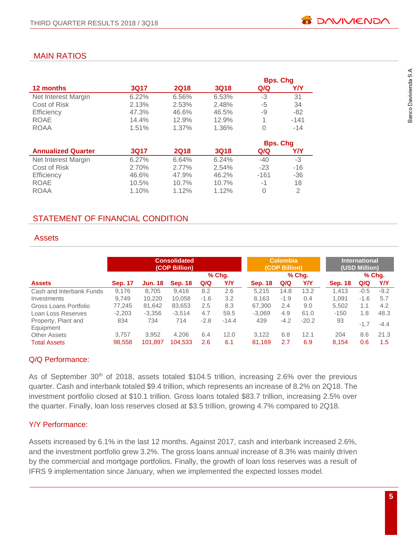# MAIN RATIOS

|                     |          |             |             | <b>Bps. Chq</b> |        |
|---------------------|----------|-------------|-------------|-----------------|--------|
| 12 months           | 3Q17     | <b>2Q18</b> | <b>3Q18</b> | Q/Q             | Y/Y    |
| Net Interest Margin | $6.22\%$ | 6.56%       | 6.53%       | -3              | 31     |
| Cost of Risk        | 2.13%    | 2.53%       | 2.48%       | -5              | 34     |
| Efficiency          | 47.3%    | 46.6%       | 46.5%       | -9              | $-82$  |
| ROAE                | 14.4%    | 12.9%       | 12.9%       |                 | $-141$ |
| <b>ROAA</b>         | 1.51%    | 1.37%       | 1.36%       | 0               | $-14$  |

|                           |       |             |             | <b>Bps. Chg</b> |       |
|---------------------------|-------|-------------|-------------|-----------------|-------|
| <b>Annualized Quarter</b> | 3017  | <b>2Q18</b> | <b>3Q18</b> | Q/Q             | Y/Y   |
| Net Interest Margin       | 6.27% | 6.64%       | 6.24%       | $-40$           | -3    |
| Cost of Risk              | 2.70% | $2.77\%$    | 2.54%       | $-23$           | $-16$ |
| Efficiency                | 46.6% | 47.9%       | 46.2%       | -161            | $-36$ |
| <b>ROAE</b>               | 10.5% | 10.7%       | 10.7%       | $-1$            | 18    |
| <b>ROAA</b>               | 1.10% | 1.12%       | 1.12%       |                 | 2     |

# STATEMENT OF FINANCIAL CONDITION

# **Assets**

|                                  | <b>Consolidated</b><br>(COP Billion) |                |                |        |         |                | <b>Colombia</b><br>(COP Billion) |         | <b>International</b><br>(USD Million) |        |        |
|----------------------------------|--------------------------------------|----------------|----------------|--------|---------|----------------|----------------------------------|---------|---------------------------------------|--------|--------|
|                                  |                                      |                |                |        | % Chg.  |                |                                  | % Chg.  |                                       |        | % Chg. |
| <b>Assets</b>                    | <b>Sep. 17</b>                       | <b>Jun. 18</b> | <b>Sep. 18</b> | Q/Q    | Y/Y     | <b>Sep. 18</b> | Q/Q                              | Y/Y     | <b>Sep. 18</b>                        | Q/Q    | YN     |
| Cash and Interbank Funds         | 9.176                                | 8.705          | 9.416          | 8.2    | 2.6     | 5.215          | 14.8                             | 13.2    | 1.413                                 | $-0.5$ | $-9.2$ |
| Investments                      | 9.749                                | 10,220         | 10.058         | $-1.6$ | 3.2     | 8.163          | $-1.9$                           | 0.4     | 1.091                                 | $-1.6$ | 5.7    |
| Gross Loans Portfolio            | 77,245                               | 81,642         | 83,653         | 2.5    | 8.3     | 67,300         | 2.4                              | 9.0     | 5,502                                 | 1.1    | 4.2    |
| Loan Loss Reserves               | $-2,203$                             | $-3,356$       | $-3,514$       | 4.7    | 59.5    | $-3,069$       | 4.9                              | 61.0    | $-150$                                | 1.8    | 48.3   |
| Property, Plant and<br>Equipment | 834                                  | 734            | 714            | $-2.8$ | $-14.4$ | 439            | $-4.2$                           | $-20.2$ | 93                                    | $-1.7$ | $-4.4$ |
| <b>Other Assets</b>              | 3.757                                | 3,952          | 4.206          | 6.4    | 12.0    | 3.122          | 6.8                              | 12.1    | 204                                   | 8.6    | 21.3   |
| <b>Total Assets</b>              | 98.558                               | 101.897        | 104.533        | 2.6    | 6.1     | 81,169         | 2.7                              | 6.9     | 8.154                                 | 0.6    | 1.5    |

#### Q/Q Performance:

As of September 30<sup>th</sup> of 2018, assets totaled \$104.5 trillion, increasing 2.6% over the previous quarter. Cash and interbank totaled \$9.4 trillion, which represents an increase of 8.2% on 2Q18. The investment portfolio closed at \$10.1 trillion. Gross loans totaled \$83.7 trillion, increasing 2.5% over the quarter. Finally, loan loss reserves closed at \$3.5 trillion, growing 4.7% compared to 2Q18.

# Y/Y Performance:

Assets increased by 6.1% in the last 12 months. Against 2017, cash and interbank increased 2.6%, and the investment portfolio grew 3.2%. The gross loans annual increase of 8.3% was mainly driven by the commercial and mortgage portfolios. Finally, the growth of loan loss reserves was a result of IFRS 9 implementation since January, when we implemented the expected losses model.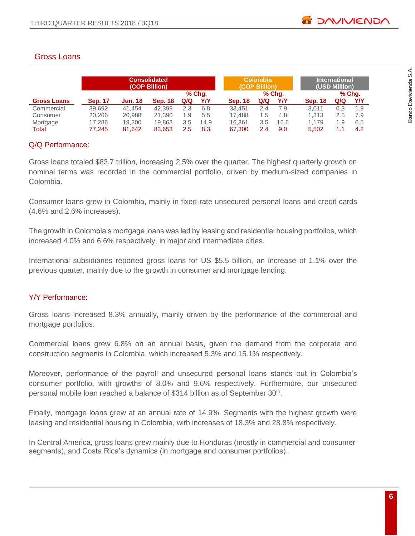# Gross Loans

|                    | <b>Consolidated</b><br>(COP Billion) |                |                |     |        |                | <b>Colombia</b><br>(COP Billion) |        | <b>International</b><br>(USD Million) |     |          |  |
|--------------------|--------------------------------------|----------------|----------------|-----|--------|----------------|----------------------------------|--------|---------------------------------------|-----|----------|--|
|                    |                                      |                |                |     | % Chq. |                |                                  | % Chq. |                                       |     | $%$ Chg. |  |
| <b>Gross Loans</b> | <b>Sep. 17</b>                       | <b>Jun. 18</b> | <b>Sep. 18</b> | Q/Q | Y/Y    | <b>Sep. 18</b> | Q/Q                              | Y/Y    | <b>Sep. 18</b>                        | Q/Q | Y/Y      |  |
| Commercial         | 39,692                               | 41.454         | 42.399         | 2.3 | 6.8    | 33.451         | 2.4                              | 7.9    | 3.011                                 | 0.3 | 1.9      |  |
| Consumer           | 20,266                               | 20,988         | 21.390         | 1.9 | 5.5    | 17.488         | 1.5                              | 4.8    | 1.313                                 | 2.5 | 7.9      |  |
| Mortgage           | 17.286                               | 19,200         | 19.863         | 3.5 | 14.9   | 16.361         | 3.5                              | 16.6   | 1.179                                 | 1.9 | 6.5      |  |
| Total              | 77.245                               | 81,642         | 83,653         | 2.5 | 8.3    | 67,300         | 2.4                              | 9.0    | 5,502                                 | 1.1 | 4.2      |  |

# Q/Q Performance:

Gross loans totaled \$83.7 trillion, increasing 2.5% over the quarter. The highest quarterly growth on nominal terms was recorded in the commercial portfolio, driven by medium-sized companies in Colombia.

Consumer loans grew in Colombia, mainly in fixed-rate unsecured personal loans and credit cards (4.6% and 2.6% increases).

The growth in Colombia's mortgage loans was led by leasing and residential housing portfolios, which increased 4.0% and 6.6% respectively, in major and intermediate cities.

International subsidiaries reported gross loans for US \$5.5 billion, an increase of 1.1% over the previous quarter, mainly due to the growth in consumer and mortgage lending.

#### Y/Y Performance:

Gross loans increased 8.3% annually, mainly driven by the performance of the commercial and mortgage portfolios.

Commercial loans grew 6.8% on an annual basis, given the demand from the corporate and construction segments in Colombia, which increased 5.3% and 15.1% respectively.

Moreover, performance of the payroll and unsecured personal loans stands out in Colombia's consumer portfolio, with growths of 8.0% and 9.6% respectively. Furthermore, our unsecured personal mobile loan reached a balance of \$314 billion as of September 30<sup>th</sup>.

Finally, mortgage loans grew at an annual rate of 14.9%. Segments with the highest growth were leasing and residential housing in Colombia, with increases of 18.3% and 28.8% respectively.

In Central America, gross loans grew mainly due to Honduras (mostly in commercial and consumer segments), and Costa Rica's dynamics (in mortgage and consumer portfolios).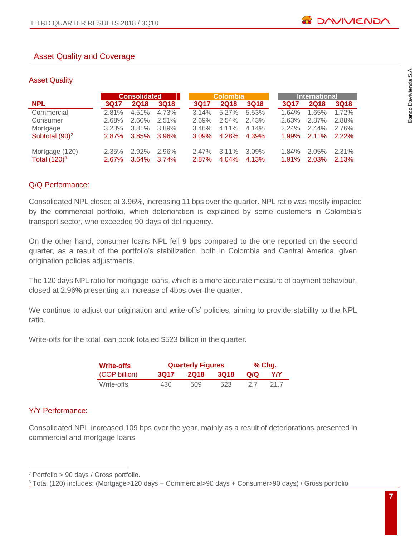#### Asset Quality and Coverage

#### Asset Quality

|                                   |                      | <b>Consolidated</b> |                |                   | <b>Colombia</b>      |                   |                   | <b>International</b> |                |
|-----------------------------------|----------------------|---------------------|----------------|-------------------|----------------------|-------------------|-------------------|----------------------|----------------|
| <b>NPL</b>                        | 3017                 | <b>2Q18</b>         | <b>3Q18</b>    | 3Q17              | <b>2Q18</b>          | <b>3Q18</b>       | 3Q17              | <b>2Q18</b>          | <b>3Q18</b>    |
| Commercial                        | 2.81%                | 4.51%               | 4.73%          | 3.14%             | $5.27\%$             | 5.53%             | 1.64%             | 1.65%                | 1.72%          |
| Consumer                          | 2.68%                | $2.60\%$            | 2.51%          | 2.69%             | $2.54\%$             | 2.43%             | 2.63%             | 2.87%                | 2.88%          |
| Mortgage                          | 3.23%                | $3.81\%$            | 3.89%          | 3.46%             | $4.11\%$             | 4.14%             | $2.24\%$          | $2.44\%$             | 2.76%          |
| Subtotal (90) <sup>2</sup>        | $2.87\%$             | 3.85%               | 3.96%          | $3.09\%$          | 4.28%                | 4.39%             | 1.99%             | $2.11\%$             | $2.22\%$       |
| Mortgage (120)<br>Total $(120)^3$ | $2.35\%$<br>$2.67\%$ | 2.92%<br>3.64%      | 2.96%<br>3.74% | $2.47\%$<br>2.87% | $3.11\%$<br>$4.04\%$ | $3.09\%$<br>4.13% | $1.84\%$<br>1.91% | $2.05\%$<br>2.03%    | 2.31%<br>2.13% |

#### Q/Q Performance:

Consolidated NPL closed at 3.96%, increasing 11 bps over the quarter. NPL ratio was mostly impacted by the commercial portfolio, which deterioration is explained by some customers in Colombia's transport sector, who exceeded 90 days of delinquency.

On the other hand, consumer loans NPL fell 9 bps compared to the one reported on the second quarter, as a result of the portfolio's stabilization, both in Colombia and Central America, given origination policies adjustments.

The 120 days NPL ratio for mortgage loans, which is a more accurate measure of payment behaviour, closed at 2.96% presenting an increase of 4bps over the quarter.

We continue to adjust our origination and write-offs' policies, aiming to provide stability to the NPL ratio.

Write-offs for the total loan book totaled \$523 billion in the quarter.

| <b>Write-offs</b> |             | <b>Quarterly Figures</b> | $%$ Chg. |      |      |  |
|-------------------|-------------|--------------------------|----------|------|------|--|
| (COP billion)     | <b>3Q17</b> | <b>2018</b>              | -3018    | Q/Q  | YN   |  |
| Write-offs        | 430         | 509                      | 523      | -2.7 | 21.7 |  |

#### Y/Y Performance:

 $\overline{a}$ 

Consolidated NPL increased 109 bps over the year, mainly as a result of deteriorations presented in commercial and mortgage loans.

<sup>2</sup> Portfolio > 90 days / Gross portfolio.

<sup>3</sup> Total (120) includes: (Mortgage>120 days + Commercial>90 days + Consumer>90 days) / Gross portfolio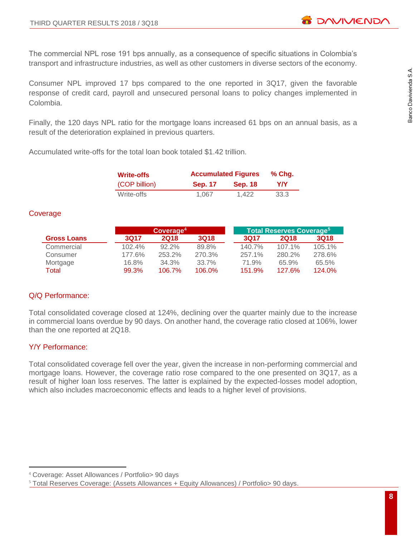The commercial NPL rose 191 bps annually, as a consequence of specific situations in Colombia's transport and infrastructure industries, as well as other customers in diverse sectors of the economy.

Consumer NPL improved 17 bps compared to the one reported in 3Q17, given the favorable response of credit card, payroll and unsecured personal loans to policy changes implemented in Colombia.

Finally, the 120 days NPL ratio for the mortgage loans increased 61 bps on an annual basis, as a result of the deterioration explained in previous quarters.

Accumulated write-offs for the total loan book totaled \$1.42 trillion.

| Write-offs    |                | <b>Accumulated Figures</b> |      |  |  |  |  |
|---------------|----------------|----------------------------|------|--|--|--|--|
| (COP billion) | <b>Sep. 17</b> | <b>Sep. 18</b>             | YN.  |  |  |  |  |
| Write-offs    | 1.067          | 1.422                      | 33.3 |  |  |  |  |

#### **Coverage**

|                    | Coverage <sup>4</sup> |             |             |  | Total Reserves Coverage <sup>5</sup> |             |             |  |  |  |
|--------------------|-----------------------|-------------|-------------|--|--------------------------------------|-------------|-------------|--|--|--|
| <b>Gross Loans</b> | 3017                  | <b>2018</b> | <b>3Q18</b> |  | 3017                                 | <b>2018</b> | <b>3Q18</b> |  |  |  |
| Commercial         | 102.4%                | $92.2\%$    | 89.8%       |  | 140.7%                               | 107.1%      | 105.1%      |  |  |  |
| Consumer           | 177.6%                | 253.2%      | 270.3%      |  | 257.1%                               | 280.2%      | 278.6%      |  |  |  |
| Mortgage           | 16.8%                 | 34.3%       | 33.7%       |  | 71.9%                                | 65.9%       | 65.5%       |  |  |  |
| Total              | 99.3%                 | 106.7%      | 106.0%      |  | 151.9%                               | 127.6%      | 124.0%      |  |  |  |

# Q/Q Performance:

Total consolidated coverage closed at 124%, declining over the quarter mainly due to the increase in commercial loans overdue by 90 days. On another hand, the coverage ratio closed at 106%, lower than the one reported at 2Q18.

# Y/Y Performance:

 $\overline{a}$ 

Total consolidated coverage fell over the year, given the increase in non-performing commercial and mortgage loans. However, the coverage ratio rose compared to the one presented on 3Q17, as a result of higher loan loss reserves. The latter is explained by the expected-losses model adoption, which also includes macroeconomic effects and leads to a higher level of provisions.

<sup>4</sup> Coverage: Asset Allowances / Portfolio> 90 days

<sup>&</sup>lt;sup>5</sup> Total Reserves Coverage: (Assets Allowances + Equity Allowances) / Portfolio> 90 days.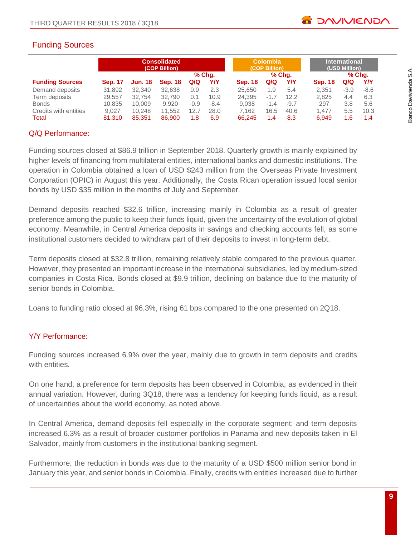# Funding Sources

|                        | <b>Consolidated</b><br>(COP Billion) |                |                | <b>Colombia</b><br>(COP Billion) |        |                | <b>International</b><br>(USD Million) |        |                |        |        |
|------------------------|--------------------------------------|----------------|----------------|----------------------------------|--------|----------------|---------------------------------------|--------|----------------|--------|--------|
|                        |                                      |                |                |                                  | % Chq. |                |                                       | % Chq. |                |        | % Chq. |
| <b>Funding Sources</b> | <b>Sep. 17</b>                       | <b>Jun. 18</b> | <b>Sep. 18</b> | Q/Q                              | Y/Y    | <b>Sep. 18</b> | Q/Q                                   | Y/Y    | <b>Sep. 18</b> | Q/Q    | Y/Y    |
| Demand deposits        | 31,892                               | 32,340         | 32.638         | 0.9                              | 2.3    | 25.650         | 1.9                                   | 5.4    | 2.351          | $-3.9$ | $-8.6$ |
| Term deposits          | 29,557                               | 32.754         | 32.790         | 0.1                              | 10.9   | 24.395         | $-1.7$                                | 12.2   | 2.825          | 4.4    | 6.3    |
| <b>Bonds</b>           | 10,835                               | 10.009         | 9.920          | $-0.9$                           | $-8.4$ | 9.038          | $-1.4$                                | $-9.7$ | 297            | 3.8    | 5.6    |
| Credits with entities  | 9.027                                | 10.248         | 11,552         | 12.7                             | 28.0   | 7.162          | 16.5                                  | 40.6   | 1.477          | 5.5    | 10.3   |
| Total                  | 81.310                               | 85.351         | 86,900         | 1.8                              | 6.9    | 66.245         | 1.4                                   | 8.3    | 6.949          | 1.6    | 1.4    |

#### Q/Q Performance:

Funding sources closed at \$86.9 trillion in September 2018. Quarterly growth is mainly explained by higher levels of financing from multilateral entities, international banks and domestic institutions. The operation in Colombia obtained a loan of USD \$243 million from the Overseas Private Investment Corporation (OPIC) in August this year. Additionally, the Costa Rican operation issued local senior bonds by USD \$35 million in the months of July and September.

Demand deposits reached \$32.6 trillion, increasing mainly in Colombia as a result of greater preference among the public to keep their funds liquid, given the uncertainty of the evolution of global economy. Meanwhile, in Central America deposits in savings and checking accounts fell, as some institutional customers decided to withdraw part of their deposits to invest in long-term debt.

Term deposits closed at \$32.8 trillion, remaining relatively stable compared to the previous quarter. However, they presented an important increase in the international subsidiaries, led by medium-sized companies in Costa Rica. Bonds closed at \$9.9 trillion, declining on balance due to the maturity of senior bonds in Colombia.

Loans to funding ratio closed at 96.3%, rising 61 bps compared to the one presented on 2Q18.

# Y/Y Performance:

Funding sources increased 6.9% over the year, mainly due to growth in term deposits and credits with entities.

On one hand, a preference for term deposits has been observed in Colombia, as evidenced in their annual variation. However, during 3Q18, there was a tendency for keeping funds liquid, as a result of uncertainties about the world economy, as noted above.

In Central America, demand deposits fell especially in the corporate segment; and term deposits increased 6.3% as a result of broader customer portfolios in Panama and new deposits taken in El Salvador, mainly from customers in the institutional banking segment.

Furthermore, the reduction in bonds was due to the maturity of a USD \$500 million senior bond in January this year, and senior bonds in Colombia. Finally, credits with entities increased due to further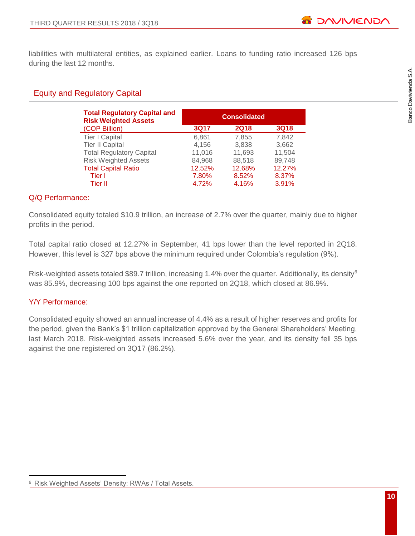liabilities with multilateral entities, as explained earlier. Loans to funding ratio increased 126 bps during the last 12 months.

# Equity and Regulatory Capital

| <b>Total Regulatory Capital and</b><br><b>Risk Weighted Assets</b> |             | <b>Consolidated</b> |             |
|--------------------------------------------------------------------|-------------|---------------------|-------------|
| (COP Billion)                                                      | <b>3Q17</b> | <b>2Q18</b>         | <b>3Q18</b> |
| <b>Tier I Capital</b>                                              | 6,861       | 7,855               | 7,842       |
| <b>Tier II Capital</b>                                             | 4,156       | 3,838               | 3,662       |
| <b>Total Regulatory Capital</b>                                    | 11,016      | 11,693              | 11,504      |
| <b>Risk Weighted Assets</b>                                        | 84,968      | 88,518              | 89,748      |
| <b>Total Capital Ratio</b>                                         | 12.52%      | 12.68%              | 12.27%      |
| Tier I                                                             | 7.80%       | 8.52%               | 8.37%       |
| Tier II                                                            | 4.72%       | 4.16%               | 3.91%       |

#### Q/Q Performance:

Consolidated equity totaled \$10.9 trillion, an increase of 2.7% over the quarter, mainly due to higher profits in the period.

Total capital ratio closed at 12.27% in September, 41 bps lower than the level reported in 2Q18. However, this level is 327 bps above the minimum required under Colombia's regulation (9%).

Risk-weighted assets totaled \$89.7 trillion, increasing 1.4% over the quarter. Additionally, its density<sup>6</sup> was 85.9%, decreasing 100 bps against the one reported on 2Q18, which closed at 86.9%.

# Y/Y Performance:

Consolidated equity showed an annual increase of 4.4% as a result of higher reserves and profits for the period, given the Bank's \$1 trillion capitalization approved by the General Shareholders' Meeting, last March 2018. Risk-weighted assets increased 5.6% over the year, and its density fell 35 bps against the one registered on 3Q17 (86.2%).

 $\overline{a}$ <sup>6</sup> Risk Weighted Assets' Density: RWAs / Total Assets.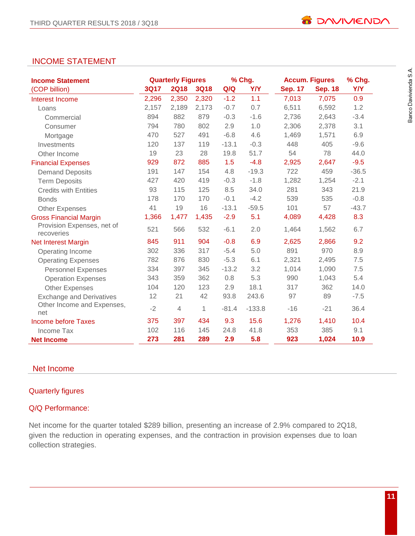# INCOME STATEMENT

| <b>Income Statement</b>                  |             | <b>Quarterly Figures</b> |             |         | % Chg.     |                | <b>Accum. Figures</b> | % Chg.     |
|------------------------------------------|-------------|--------------------------|-------------|---------|------------|----------------|-----------------------|------------|
| (COP billion)                            | <b>3Q17</b> | <b>2Q18</b>              | <b>3Q18</b> | Q/Q     | <b>Y/Y</b> | <b>Sep. 17</b> | <b>Sep. 18</b>        | <b>Y/Y</b> |
| Interest Income                          | 2,296       | 2,350                    | 2,320       | $-1.2$  | 1.1        | 7,013          | 7,075                 | 0.9        |
| Loans                                    | 2,157       | 2,189                    | 2,173       | $-0.7$  | 0.7        | 6,511          | 6,592                 | 1.2        |
| Commercial                               | 894         | 882                      | 879         | $-0.3$  | $-1.6$     | 2,736          | 2,643                 | $-3.4$     |
| Consumer                                 | 794         | 780                      | 802         | 2.9     | 1.0        | 2,306          | 2,378                 | 3.1        |
| Mortgage                                 | 470         | 527                      | 491         | $-6.8$  | 4.6        | 1,469          | 1,571                 | 6.9        |
| Investments                              | 120         | 137                      | 119         | $-13.1$ | $-0.3$     | 448            | 405                   | $-9.6$     |
| Other Income                             | 19          | 23                       | 28          | 19.8    | 51.7       | 54             | 78                    | 44.0       |
| <b>Financial Expenses</b>                | 929         | 872                      | 885         | 1.5     | $-4.8$     | 2,925          | 2,647                 | $-9.5$     |
| <b>Demand Deposits</b>                   | 191         | 147                      | 154         | 4.8     | $-19.3$    | 722            | 459                   | $-36.5$    |
| <b>Term Deposits</b>                     | 427         | 420                      | 419         | $-0.3$  | $-1.8$     | 1,282          | 1,254                 | $-2.1$     |
| <b>Credits with Entities</b>             | 93          | 115                      | 125         | 8.5     | 34.0       | 281            | 343                   | 21.9       |
| <b>Bonds</b>                             | 178         | 170                      | 170         | $-0.1$  | $-4.2$     | 539            | 535                   | $-0.8$     |
| <b>Other Expenses</b>                    | 41          | 19                       | 16          | $-13.1$ | $-59.5$    | 101            | 57                    | $-43.7$    |
| <b>Gross Financial Margin</b>            | 1,366       | 1,477                    | 1,435       | $-2.9$  | 5.1        | 4,089          | 4,428                 | 8.3        |
| Provision Expenses, net of<br>recoveries | 521         | 566                      | 532         | $-6.1$  | 2.0        | 1,464          | 1,562                 | 6.7        |
| <b>Net Interest Margin</b>               | 845         | 911                      | 904         | $-0.8$  | 6.9        | 2,625          | 2,866                 | 9.2        |
| Operating Income                         | 302         | 336                      | 317         | $-5.4$  | 5.0        | 891            | 970                   | 8.9        |
| <b>Operating Expenses</b>                | 782         | 876                      | 830         | $-5.3$  | 6.1        | 2,321          | 2,495                 | 7.5        |
| <b>Personnel Expenses</b>                | 334         | 397                      | 345         | $-13.2$ | 3.2        | 1,014          | 1,090                 | 7.5        |
| <b>Operation Expenses</b>                | 343         | 359                      | 362         | 0.8     | 5.3        | 990            | 1,043                 | 5.4        |
| <b>Other Expenses</b>                    | 104         | 120                      | 123         | 2.9     | 18.1       | 317            | 362                   | 14.0       |
| <b>Exchange and Derivatives</b>          | 12          | 21                       | 42          | 93.8    | 243.6      | 97             | 89                    | $-7.5$     |
| Other Income and Expenses,<br>net        | $-2$        | $\overline{4}$           | 1           | $-81.4$ | $-133.8$   | $-16$          | $-21$                 | 36.4       |
| Income before Taxes                      | 375         | 397                      | 434         | 9.3     | 15.6       | 1,276          | 1,410                 | 10.4       |
| Income Tax                               | 102         | 116                      | 145         | 24.8    | 41.8       | 353            | 385                   | 9.1        |
| <b>Net Income</b>                        | 273         | 281                      | 289         | 2.9     | 5.8        | 923            | 1,024                 | 10.9       |

# Net Income

# Quarterly figures

#### Q/Q Performance:

Net income for the quarter totaled \$289 billion, presenting an increase of 2.9% compared to 2Q18, given the reduction in operating expenses, and the contraction in provision expenses due to loan collection strategies.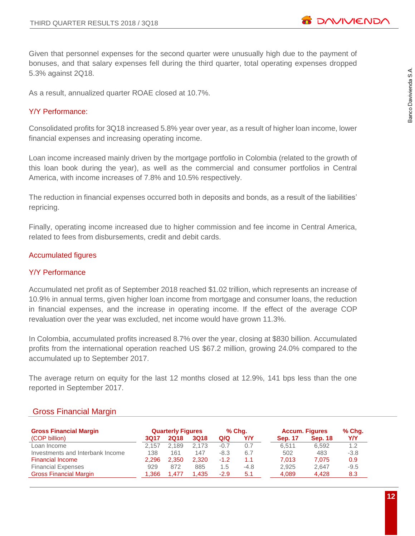**B** DAVIVIEND

Given that personnel expenses for the second quarter were unusually high due to the payment of bonuses, and that salary expenses fell during the third quarter, total operating expenses dropped 5.3% against 2Q18.

As a result, annualized quarter ROAE closed at 10.7%.

#### Y/Y Performance:

Consolidated profits for 3Q18 increased 5.8% year over year, as a result of higher loan income, lower financial expenses and increasing operating income.

Loan income increased mainly driven by the mortgage portfolio in Colombia (related to the growth of this loan book during the year), as well as the commercial and consumer portfolios in Central America, with income increases of 7.8% and 10.5% respectively.

The reduction in financial expenses occurred both in deposits and bonds, as a result of the liabilities' repricing.

Finally, operating income increased due to higher commission and fee income in Central America, related to fees from disbursements, credit and debit cards.

#### Accumulated figures

#### Y/Y Performance

Accumulated net profit as of September 2018 reached \$1.02 trillion, which represents an increase of 10.9% in annual terms, given higher loan income from mortgage and consumer loans, the reduction in financial expenses, and the increase in operating income. If the effect of the average COP revaluation over the year was excluded, net income would have grown 11.3%.

In Colombia, accumulated profits increased 8.7% over the year, closing at \$830 billion. Accumulated profits from the international operation reached US \$67.2 million, growing 24.0% compared to the accumulated up to September 2017.

The average return on equity for the last 12 months closed at 12.9%, 141 bps less than the one reported in September 2017.

#### Gross Financial Margin

| <b>Gross Financial Margin</b>    |       | <b>Quarterly Figures</b> |             | % Chq. |        |                | <b>Accum. Figures</b> | $%$ Chg. |
|----------------------------------|-------|--------------------------|-------------|--------|--------|----------------|-----------------------|----------|
| (COP billion)                    | 3017  | <b>2Q18</b>              | <b>3Q18</b> | Q/Q    | Y/Y    | <b>Sep. 17</b> | <b>Sep. 18</b>        | Y/Y      |
| Loan Income                      | 2.157 | 2.189                    | 2.173       | $-0.7$ | 0.7    | 6.511          | 6.592                 | 1.2      |
| Investments and Interbank Income | 138   | 161                      | 147         | $-8.3$ | 6.7    | 502            | 483                   | $-3.8$   |
| <b>Financial Income</b>          | 2.296 | 2.350                    | 2.320       | $-1.2$ | 1.1    | 7.013          | 7.075                 | 0.9      |
| <b>Financial Expenses</b>        | 929   | 872                      | 885         | 1.5    | $-4.8$ | 2.925          | 2.647                 | $-9.5$   |
| <b>Gross Financial Margin</b>    | 1.366 | .477                     | 1.435       | $-2.9$ | 5.1    | 4,089          | 4.428                 | 8.3      |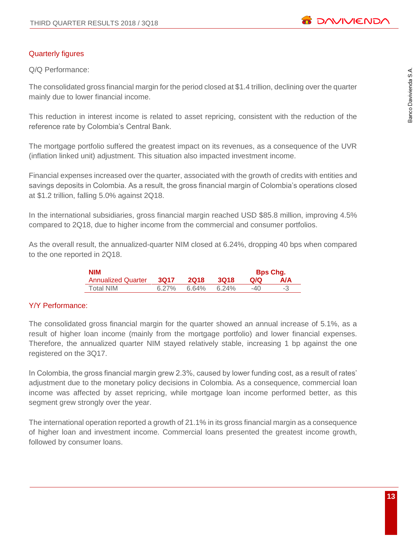

#### Quarterly figures

Q/Q Performance:

The consolidated gross financial margin for the period closed at \$1.4 trillion, declining over the quarter mainly due to lower financial income.

This reduction in interest income is related to asset repricing, consistent with the reduction of the reference rate by Colombia's Central Bank.

The mortgage portfolio suffered the greatest impact on its revenues, as a consequence of the UVR (inflation linked unit) adjustment. This situation also impacted investment income.

Financial expenses increased over the quarter, associated with the growth of credits with entities and savings deposits in Colombia. As a result, the gross financial margin of Colombia's operations closed at \$1.2 trillion, falling 5.0% against 2Q18.

In the international subsidiaries, gross financial margin reached USD \$85.8 million, improving 4.5% compared to 2Q18, due to higher income from the commercial and consumer portfolios.

As the overall result, the annualized-quarter NIM closed at 6.24%, dropping 40 bps when compared to the one reported in 2Q18.

| <b>NIM</b>                |          |             |       |       | <b>Bps Chg.</b> |
|---------------------------|----------|-------------|-------|-------|-----------------|
| <b>Annualized Quarter</b> | 3017     | <b>2018</b> | 3018  | Q/Q   | <b>A/A</b>      |
| Total NIM                 | $6.27\%$ | 6.64%       | 6.24% | $-40$ |                 |

#### Y/Y Performance:

The consolidated gross financial margin for the quarter showed an annual increase of 5.1%, as a result of higher loan income (mainly from the mortgage portfolio) and lower financial expenses. Therefore, the annualized quarter NIM stayed relatively stable, increasing 1 bp against the one registered on the 3Q17.

In Colombia, the gross financial margin grew 2.3%, caused by lower funding cost, as a result of rates' adjustment due to the monetary policy decisions in Colombia. As a consequence, commercial loan income was affected by asset repricing, while mortgage loan income performed better, as this segment grew strongly over the year.

The international operation reported a growth of 21.1% in its gross financial margin as a consequence of higher loan and investment income. Commercial loans presented the greatest income growth, followed by consumer loans.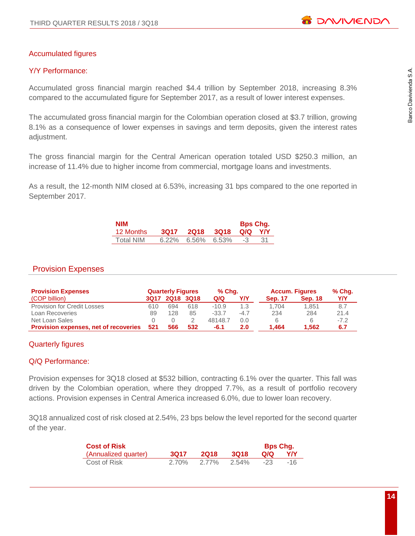# Banco Davivienda S.A.

# Accumulated figures

# Y/Y Performance:

Accumulated gross financial margin reached \$4.4 trillion by September 2018, increasing 8.3% compared to the accumulated figure for September 2017, as a result of lower interest expenses.

The accumulated gross financial margin for the Colombian operation closed at \$3.7 trillion, growing 8.1% as a consequence of lower expenses in savings and term deposits, given the interest rates adjustment.

The gross financial margin for the Central American operation totaled USD \$250.3 million, an increase of 11.4% due to higher income from commercial, mortgage loans and investments.

As a result, the 12-month NIM closed at 6.53%, increasing 31 bps compared to the one reported in September 2017.

| <b>NIM</b> |                      | <b>Bps Chg.</b> |     |
|------------|----------------------|-----------------|-----|
| 12 Months  | 3Q17 2Q18 3Q18       | QIQ YIY         |     |
| Total NIM  | $6.22\%$ 6.56% 6.53% | $-3$            | -31 |

# Provision Expenses

| <b>Provision Expenses</b>                    |      | <b>Quarterly Figures</b> |     | % Chq.  |        | <b>Accum. Figures</b> |                | % Chg. |
|----------------------------------------------|------|--------------------------|-----|---------|--------|-----------------------|----------------|--------|
| (COP billion)                                | 3017 | <b>2Q18 3Q18</b>         |     | Q/Q     | Y/Y    | <b>Sep. 17</b>        | <b>Sep. 18</b> | YN     |
| <b>Provision for Credit Losses</b>           | 610  | 694                      | 618 | $-10.9$ | 1.3    | 1.704                 | 1.851          | 8.7    |
| Loan Recoveries                              | 89   | 128                      | 85  | $-33.7$ | $-4.7$ | 234                   | 284            | 21.4   |
| Net Loan Sales                               |      |                          |     | 48148.7 | 0.0    | 6                     | 6              | $-7.2$ |
| <b>Provision expenses, net of recoveries</b> | 521  | 566                      | 532 | $-6.1$  | 2.0    | 1.464                 | 1.562          | 6.7    |

#### Quarterly figures

#### Q/Q Performance:

Provision expenses for 3Q18 closed at \$532 billion, contracting 6.1% over the quarter. This fall was driven by the Colombian operation, where they dropped 7.7%, as a result of portfolio recovery actions. Provision expenses in Central America increased 6.0%, due to lower loan recovery.

3Q18 annualized cost of risk closed at 2.54%, 23 bps below the level reported for the second quarter of the year.

| <b>Cost of Risk</b>  |       |             |             | <b>Bps Chg.</b> |     |
|----------------------|-------|-------------|-------------|-----------------|-----|
| (Annualized quarter) | 3017  | <b>2018</b> | <b>3018</b> | Q/Q             | YN. |
| Cost of Risk         | 2.70% | 2.77%       | 2.54%       | $-23$           | -16 |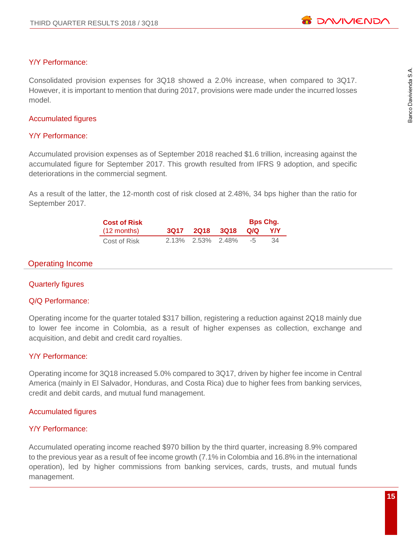#### Y/Y Performance:

Consolidated provision expenses for 3Q18 showed a 2.0% increase, when compared to 3Q17. However, it is important to mention that during 2017, provisions were made under the incurred losses model.

#### Accumulated figures

#### Y/Y Performance:

Accumulated provision expenses as of September 2018 reached \$1.6 trillion, increasing against the accumulated figure for September 2017. This growth resulted from IFRS 9 adoption, and specific deteriorations in the commercial segment.

As a result of the latter, the 12-month cost of risk closed at 2.48%, 34 bps higher than the ratio for September 2017.

| <b>Cost of Risk</b>   |                   |                        | <b>Bps Chg.</b> |     |
|-----------------------|-------------------|------------------------|-----------------|-----|
| $(12 \text{ months})$ |                   | 3Q17 2Q18 3Q18 Q/Q Y/Y |                 |     |
| Cost of Risk          | 2.13% 2.53% 2.48% |                        | $-5$            | -34 |

#### Operating Income

#### Quarterly figures

#### Q/Q Performance:

Operating income for the quarter totaled \$317 billion, registering a reduction against 2Q18 mainly due to lower fee income in Colombia, as a result of higher expenses as collection, exchange and acquisition, and debit and credit card royalties.

#### Y/Y Performance:

Operating income for 3Q18 increased 5.0% compared to 3Q17, driven by higher fee income in Central America (mainly in El Salvador, Honduras, and Costa Rica) due to higher fees from banking services, credit and debit cards, and mutual fund management.

#### Accumulated figures

#### Y/Y Performance:

Accumulated operating income reached \$970 billion by the third quarter, increasing 8.9% compared to the previous year as a result of fee income growth (7.1% in Colombia and 16.8% in the international operation), led by higher commissions from banking services, cards, trusts, and mutual funds management.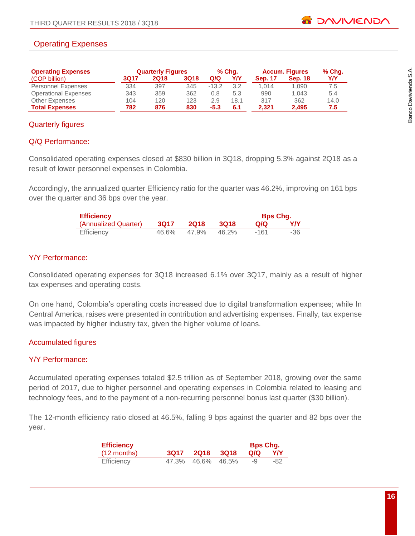# Operating Expenses

| <b>Operating Expenses</b>   |      | <b>Quarterly Figures</b> |             | % Chq.  |      | <b>Accum. Figures</b> |                | % Chg. |
|-----------------------------|------|--------------------------|-------------|---------|------|-----------------------|----------------|--------|
| (COP billion)               | 3Q17 | <b>2Q18</b>              | <b>3Q18</b> | Q/Q     | Y/Y  | <b>Sep. 17</b>        | <b>Sep. 18</b> | Y/Y    |
| <b>Personnel Expenses</b>   | 334  | 397                      | 345         | $-13.2$ | 3.2  | 1.014                 | 1.090          | 7.5    |
| <b>Operational Expenses</b> | 343  | 359                      | 362         | 0.8     | 5.3  | 990                   | 1.043          | 5.4    |
| <b>Other Expenses</b>       | 104  | 120                      | 123         | 2.9     | 18.1 | 317                   | 362            | 14.0   |
| <b>Total Expenses</b>       | 782  | 876                      | 830         | $-5.3$  | 6.1  | 2.321                 | 2.495          | 7.5    |

# Quarterly figures

#### Q/Q Performance:

Consolidated operating expenses closed at \$830 billion in 3Q18, dropping 5.3% against 2Q18 as a result of lower personnel expenses in Colombia.

Accordingly, the annualized quarter Efficiency ratio for the quarter was 46.2%, improving on 161 bps over the quarter and 36 bps over the year.

| <b>Efficiency</b>    |             |             |       | <b>Bps Chg.</b> |      |
|----------------------|-------------|-------------|-------|-----------------|------|
| (Annualized Quarter) | <b>3Q17</b> | <b>2018</b> | -3018 | Q/Q             | Y/Y  |
| <b>Efficiency</b>    | 46.6%       | 47.9%       | 46.2% | -161            | -36. |

#### Y/Y Performance:

Consolidated operating expenses for 3Q18 increased 6.1% over 3Q17, mainly as a result of higher tax expenses and operating costs.

On one hand, Colombia's operating costs increased due to digital transformation expenses; while In Central America, raises were presented in contribution and advertising expenses. Finally, tax expense was impacted by higher industry tax, given the higher volume of loans.

# Accumulated figures

#### Y/Y Performance:

Accumulated operating expenses totaled \$2.5 trillion as of September 2018, growing over the same period of 2017, due to higher personnel and operating expenses in Colombia related to leasing and technology fees, and to the payment of a non-recurring personnel bonus last quarter (\$30 billion).

The 12-month efficiency ratio closed at 46.5%, falling 9 bps against the quarter and 82 bps over the year.

| <b>Efficiency</b>     |                   |        | <b>Bps Chg.</b> |      |
|-----------------------|-------------------|--------|-----------------|------|
| $(12 \text{ months})$ | 3Q17 2Q18         | - 3Q18 | Q/Q             | YN   |
| <b>Efficiency</b>     | 47.3% 46.6% 46.5% |        | -9              | -82. |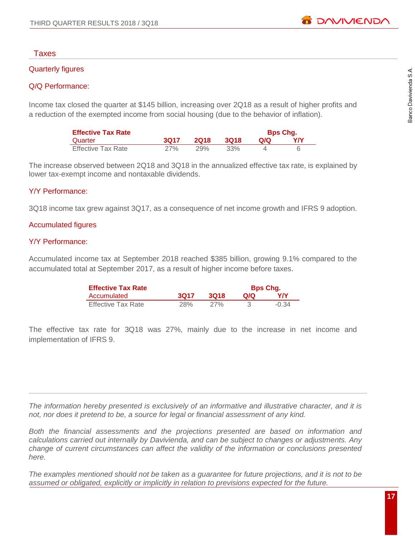# Taxes

# Quarterly figures

# Q/Q Performance:

Income tax closed the quarter at \$145 billion, increasing over 2Q18 as a result of higher profits and a reduction of the exempted income from social housing (due to the behavior of inflation).

| <b>Effective Tax Rate</b> |      |             |      |     | <b>Bps Chg.</b> |
|---------------------------|------|-------------|------|-----|-----------------|
| Quarter                   | 3017 | <b>2018</b> | 3018 | Q/Q | YN              |
| <b>Effective Tax Rate</b> | 27%  | 29%         | 33%  |     |                 |

The increase observed between 2Q18 and 3Q18 in the annualized effective tax rate, is explained by lower tax-exempt income and nontaxable dividends.

# Y/Y Performance:

3Q18 income tax grew against 3Q17, as a consequence of net income growth and IFRS 9 adoption.

# Accumulated figures

# Y/Y Performance:

Accumulated income tax at September 2018 reached \$385 billion, growing 9.1% compared to the accumulated total at September 2017, as a result of higher income before taxes.

| <b>Effective Tax Rate</b> |      |      | <b>Bps Chg.</b> |         |
|---------------------------|------|------|-----------------|---------|
| Accumulated               | 3017 | 3018 | QIQ.            | YN      |
| <b>Effective Tax Rate</b> | 28%  | 27%  |                 | $-0.34$ |

The effective tax rate for 3Q18 was 27%, mainly due to the increase in net income and implementation of IFRS 9.

*The information hereby presented is exclusively of an informative and illustrative character, and it is not, nor does it pretend to be, a source for legal or financial assessment of any kind.*

*Both the financial assessments and the projections presented are based on information and calculations carried out internally by Davivienda, and can be subject to changes or adjustments. Any change of current circumstances can affect the validity of the information or conclusions presented here.*

*The examples mentioned should not be taken as a guarantee for future projections, and it is not to be assumed or obligated, explicitly or implicitly in relation to previsions expected for the future.*